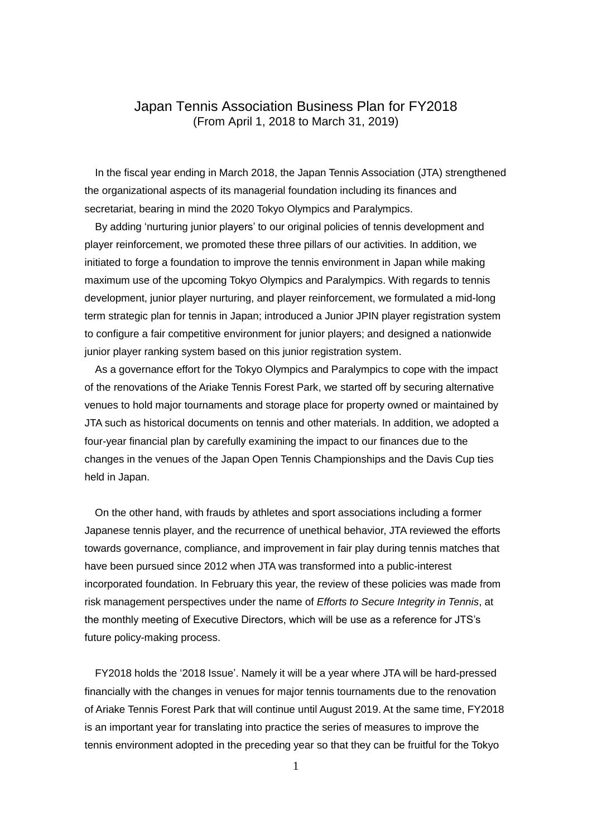## Japan Tennis Association Business Plan for FY2018 (From April 1, 2018 to March 31, 2019)

In the fiscal year ending in March 2018, the Japan Tennis Association (JTA) strengthened the organizational aspects of its managerial foundation including its finances and secretariat, bearing in mind the 2020 Tokyo Olympics and Paralympics.

By adding 'nurturing junior players' to our original policies of tennis development and player reinforcement, we promoted these three pillars of our activities. In addition, we initiated to forge a foundation to improve the tennis environment in Japan while making maximum use of the upcoming Tokyo Olympics and Paralympics. With regards to tennis development, junior player nurturing, and player reinforcement, we formulated a mid-long term strategic plan for tennis in Japan; introduced a Junior JPIN player registration system to configure a fair competitive environment for junior players; and designed a nationwide junior player ranking system based on this junior registration system.

As a governance effort for the Tokyo Olympics and Paralympics to cope with the impact of the renovations of the Ariake Tennis Forest Park, we started off by securing alternative venues to hold major tournaments and storage place for property owned or maintained by JTA such as historical documents on tennis and other materials. In addition, we adopted a four-year financial plan by carefully examining the impact to our finances due to the changes in the venues of the Japan Open Tennis Championships and the Davis Cup ties held in Japan.

 On the other hand, with frauds by athletes and sport associations including a former Japanese tennis player, and the recurrence of unethical behavior, JTA reviewed the efforts towards governance, compliance, and improvement in fair play during tennis matches that have been pursued since 2012 when JTA was transformed into a public-interest incorporated foundation. In February this year, the review of these policies was made from risk management perspectives under the name of *Efforts to Secure Integrity in Tennis*, at the monthly meeting of Executive Directors, which will be use as a reference for JTS's future policy-making process.

FY2018 holds the '2018 Issue'. Namely it will be a year where JTA will be hard-pressed financially with the changes in venues for major tennis tournaments due to the renovation of Ariake Tennis Forest Park that will continue until August 2019. At the same time, FY2018 is an important year for translating into practice the series of measures to improve the tennis environment adopted in the preceding year so that they can be fruitful for the Tokyo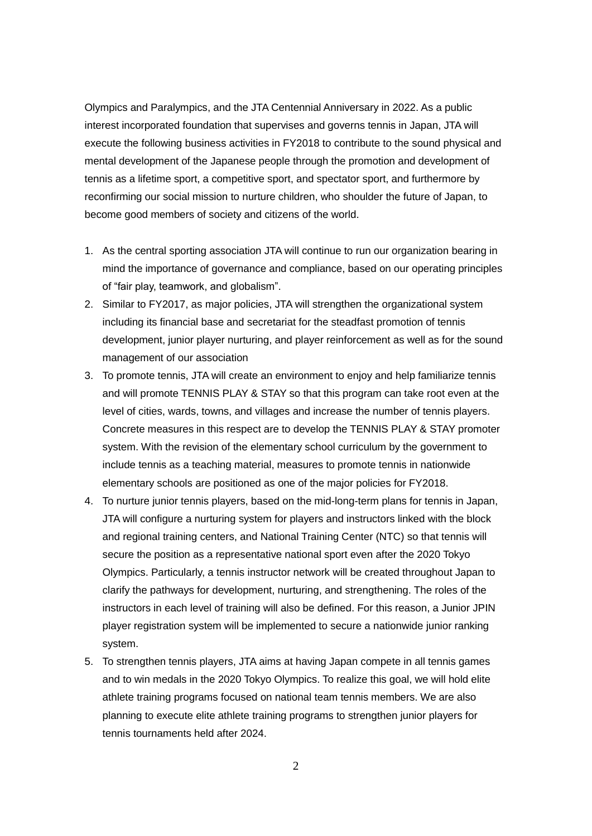Olympics and Paralympics, and the JTA Centennial Anniversary in 2022. As a public interest incorporated foundation that supervises and governs tennis in Japan, JTA will execute the following business activities in FY2018 to contribute to the sound physical and mental development of the Japanese people through the promotion and development of tennis as a lifetime sport, a competitive sport, and spectator sport, and furthermore by reconfirming our social mission to nurture children, who shoulder the future of Japan, to become good members of society and citizens of the world.

- 1. As the central sporting association JTA will continue to run our organization bearing in mind the importance of governance and compliance, based on our operating principles of "fair play, teamwork, and globalism".
- 2. Similar to FY2017, as major policies, JTA will strengthen the organizational system including its financial base and secretariat for the steadfast promotion of tennis development, junior player nurturing, and player reinforcement as well as for the sound management of our association
- 3. To promote tennis, JTA will create an environment to enjoy and help familiarize tennis and will promote TENNIS PLAY & STAY so that this program can take root even at the level of cities, wards, towns, and villages and increase the number of tennis players. Concrete measures in this respect are to develop the TENNIS PLAY & STAY promoter system. With the revision of the elementary school curriculum by the government to include tennis as a teaching material, measures to promote tennis in nationwide elementary schools are positioned as one of the major policies for FY2018.
- 4. To nurture junior tennis players, based on the mid-long-term plans for tennis in Japan, JTA will configure a nurturing system for players and instructors linked with the block and regional training centers, and National Training Center (NTC) so that tennis will secure the position as a representative national sport even after the 2020 Tokyo Olympics. Particularly, a tennis instructor network will be created throughout Japan to clarify the pathways for development, nurturing, and strengthening. The roles of the instructors in each level of training will also be defined. For this reason, a Junior JPIN player registration system will be implemented to secure a nationwide junior ranking system.
- 5. To strengthen tennis players, JTA aims at having Japan compete in all tennis games and to win medals in the 2020 Tokyo Olympics. To realize this goal, we will hold elite athlete training programs focused on national team tennis members. We are also planning to execute elite athlete training programs to strengthen junior players for tennis tournaments held after 2024.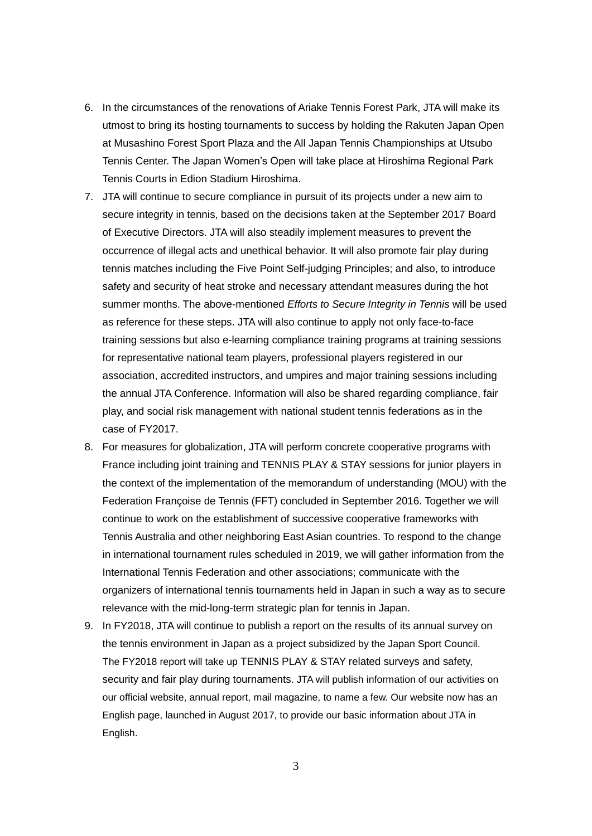- 6. In the circumstances of the renovations of Ariake Tennis Forest Park, JTA will make its utmost to bring its hosting tournaments to success by holding the Rakuten Japan Open at Musashino Forest Sport Plaza and the All Japan Tennis Championships at Utsubo Tennis Center. The Japan Women's Open will take place at Hiroshima Regional Park Tennis Courts in Edion Stadium Hiroshima.
- 7. JTA will continue to secure compliance in pursuit of its projects under a new aim to secure integrity in tennis, based on the decisions taken at the September 2017 Board of Executive Directors. JTA will also steadily implement measures to prevent the occurrence of illegal acts and unethical behavior. It will also promote fair play during tennis matches including the Five Point Self-judging Principles; and also, to introduce safety and security of heat stroke and necessary attendant measures during the hot summer months. The above-mentioned *Efforts to Secure Integrity in Tennis* will be used as reference for these steps. JTA will also continue to apply not only face-to-face training sessions but also e-learning compliance training programs at training sessions for representative national team players, professional players registered in our association, accredited instructors, and umpires and major training sessions including the annual JTA Conference. Information will also be shared regarding compliance, fair play, and social risk management with national student tennis federations as in the case of FY2017.
- 8. For measures for globalization, JTA will perform concrete cooperative programs with France including joint training and TENNIS PLAY & STAY sessions for junior players in the context of the implementation of the memorandum of understanding (MOU) with the Federation Françoise de Tennis (FFT) concluded in September 2016. Together we will continue to work on the establishment of successive cooperative frameworks with Tennis Australia and other neighboring East Asian countries. To respond to the change in international tournament rules scheduled in 2019, we will gather information from the International Tennis Federation and other associations; communicate with the organizers of international tennis tournaments held in Japan in such a way as to secure relevance with the mid-long-term strategic plan for tennis in Japan.
- 9. In FY2018, JTA will continue to publish a report on the results of its annual survey on the tennis environment in Japan as a project subsidized by the Japan Sport Council. The FY2018 report will take up TENNIS PLAY & STAY related surveys and safety, security and fair play during tournaments. JTA will publish information of our activities on our official website, annual report, mail magazine, to name a few. Our website now has an English page, launched in August 2017, to provide our basic information about JTA in English.